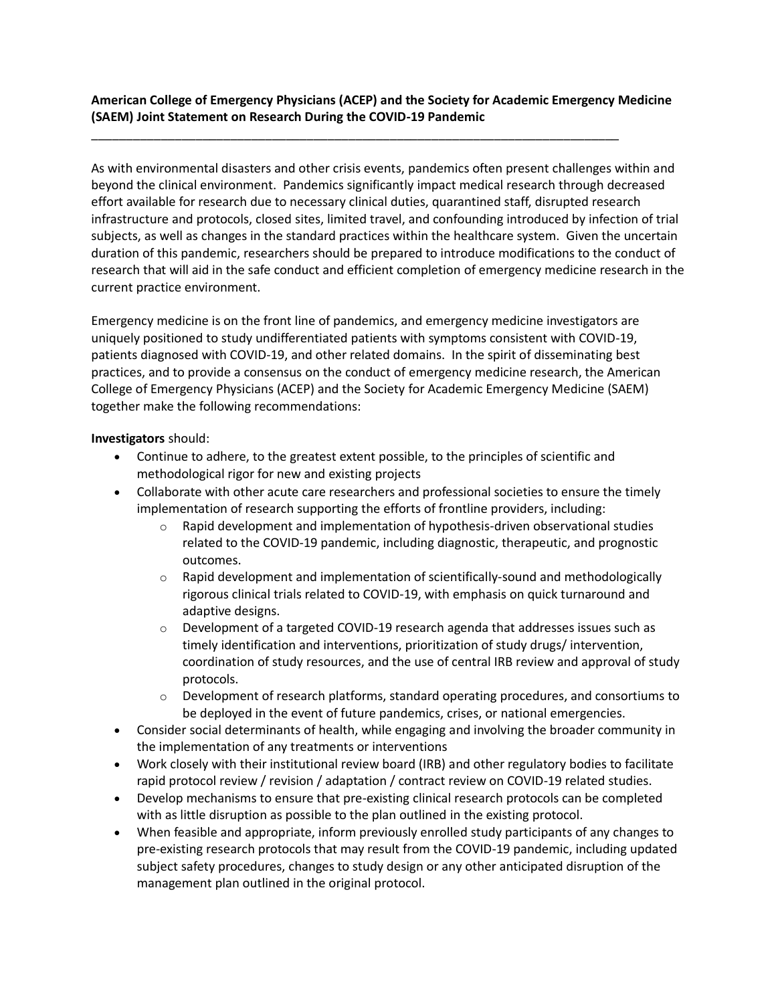**American College of Emergency Physicians (ACEP) and the Society for Academic Emergency Medicine (SAEM) Joint Statement on Research During the COVID-19 Pandemic**

\_\_\_\_\_\_\_\_\_\_\_\_\_\_\_\_\_\_\_\_\_\_\_\_\_\_\_\_\_\_\_\_\_\_\_\_\_\_\_\_\_\_\_\_\_\_\_\_\_\_\_\_\_\_\_\_\_\_\_\_\_\_\_\_\_\_\_\_\_\_\_\_\_\_\_\_

As with environmental disasters and other crisis events, pandemics often present challenges within and beyond the clinical environment. Pandemics significantly impact medical research through decreased effort available for research due to necessary clinical duties, quarantined staff, disrupted research infrastructure and protocols, closed sites, limited travel, and confounding introduced by infection of trial subjects, as well as changes in the standard practices within the healthcare system. Given the uncertain duration of this pandemic, researchers should be prepared to introduce modifications to the conduct of research that will aid in the safe conduct and efficient completion of emergency medicine research in the current practice environment.

Emergency medicine is on the front line of pandemics, and emergency medicine investigators are uniquely positioned to study undifferentiated patients with symptoms consistent with COVID-19, patients diagnosed with COVID-19, and other related domains. In the spirit of disseminating best practices, and to provide a consensus on the conduct of emergency medicine research, the American College of Emergency Physicians (ACEP) and the Society for Academic Emergency Medicine (SAEM) together make the following recommendations:

**Investigators** should:

- Continue to adhere, to the greatest extent possible, to the principles of scientific and methodological rigor for new and existing projects
- Collaborate with other acute care researchers and professional societies to ensure the timely implementation of research supporting the efforts of frontline providers, including:
	- $\circ$  Rapid development and implementation of hypothesis-driven observational studies related to the COVID-19 pandemic, including diagnostic, therapeutic, and prognostic outcomes.
	- $\circ$  Rapid development and implementation of scientifically-sound and methodologically rigorous clinical trials related to COVID-19, with emphasis on quick turnaround and adaptive designs.
	- $\circ$  Development of a targeted COVID-19 research agenda that addresses issues such as timely identification and interventions, prioritization of study drugs/ intervention, coordination of study resources, and the use of central IRB review and approval of study protocols.
	- $\circ$  Development of research platforms, standard operating procedures, and consortiums to be deployed in the event of future pandemics, crises, or national emergencies.
- Consider social determinants of health, while engaging and involving the broader community in the implementation of any treatments or interventions
- Work closely with their institutional review board (IRB) and other regulatory bodies to facilitate rapid protocol review / revision / adaptation / contract review on COVID-19 related studies.
- Develop mechanisms to ensure that pre-existing clinical research protocols can be completed with as little disruption as possible to the plan outlined in the existing protocol.
- When feasible and appropriate, inform previously enrolled study participants of any changes to pre-existing research protocols that may result from the COVID-19 pandemic, including updated subject safety procedures, changes to study design or any other anticipated disruption of the management plan outlined in the original protocol.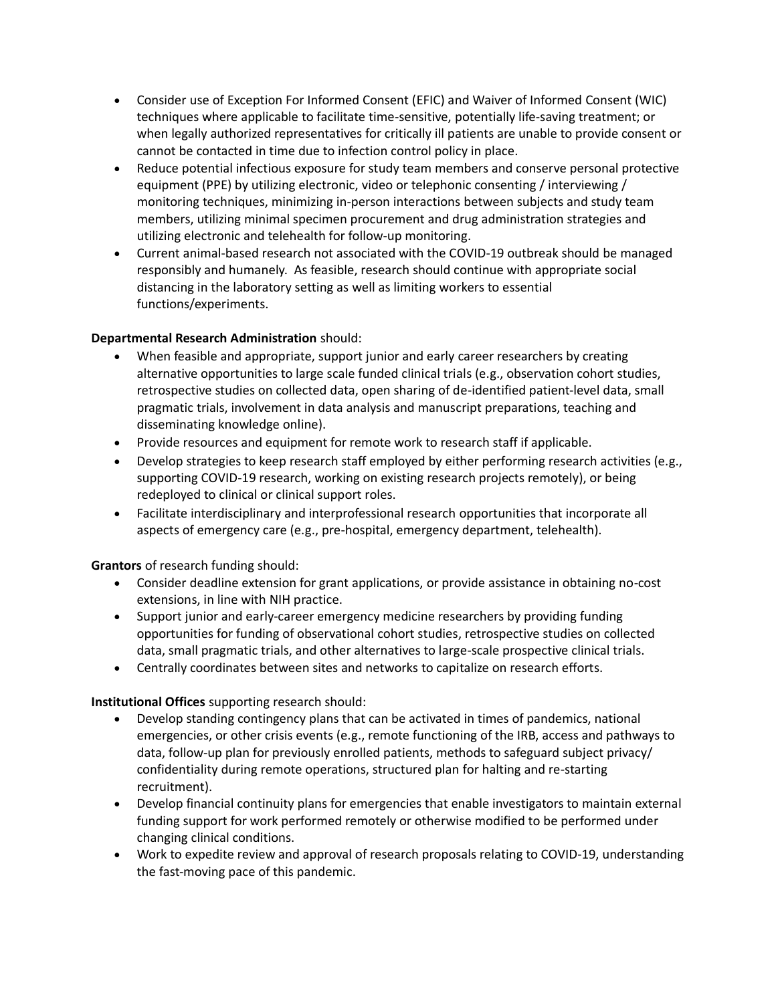- Consider use of Exception For Informed Consent (EFIC) and Waiver of Informed Consent (WIC) techniques where applicable to facilitate time-sensitive, potentially life-saving treatment; or when legally authorized representatives for critically ill patients are unable to provide consent or cannot be contacted in time due to infection control policy in place.
- Reduce potential infectious exposure for study team members and conserve personal protective equipment (PPE) by utilizing electronic, video or telephonic consenting / interviewing / monitoring techniques, minimizing in-person interactions between subjects and study team members, utilizing minimal specimen procurement and drug administration strategies and utilizing electronic and telehealth for follow-up monitoring.
- Current animal-based research not associated with the COVID-19 outbreak should be managed responsibly and humanely. As feasible, research should continue with appropriate social distancing in the laboratory setting as well as limiting workers to essential functions/experiments.

## **Departmental Research Administration** should:

- When feasible and appropriate, support junior and early career researchers by creating alternative opportunities to large scale funded clinical trials (e.g., observation cohort studies, retrospective studies on collected data, open sharing of de-identified patient-level data, small pragmatic trials, involvement in data analysis and manuscript preparations, teaching and disseminating knowledge online).
- Provide resources and equipment for remote work to research staff if applicable.
- Develop strategies to keep research staff employed by either performing research activities (e.g., supporting COVID-19 research, working on existing research projects remotely), or being redeployed to clinical or clinical support roles.
- Facilitate interdisciplinary and interprofessional research opportunities that incorporate all aspects of emergency care (e.g., pre-hospital, emergency department, telehealth).

**Grantors** of research funding should:

- Consider deadline extension for grant applications, or provide assistance in obtaining no-cost extensions, in line with NIH practice.
- Support junior and early-career emergency medicine researchers by providing funding opportunities for funding of observational cohort studies, retrospective studies on collected data, small pragmatic trials, and other alternatives to large-scale prospective clinical trials.
- Centrally coordinates between sites and networks to capitalize on research efforts.

## **Institutional Offices** supporting research should:

- Develop standing contingency plans that can be activated in times of pandemics, national emergencies, or other crisis events (e.g., remote functioning of the IRB, access and pathways to data, follow-up plan for previously enrolled patients, methods to safeguard subject privacy/ confidentiality during remote operations, structured plan for halting and re-starting recruitment).
- Develop financial continuity plans for emergencies that enable investigators to maintain external funding support for work performed remotely or otherwise modified to be performed under changing clinical conditions.
- Work to expedite review and approval of research proposals relating to COVID-19, understanding the fast-moving pace of this pandemic.